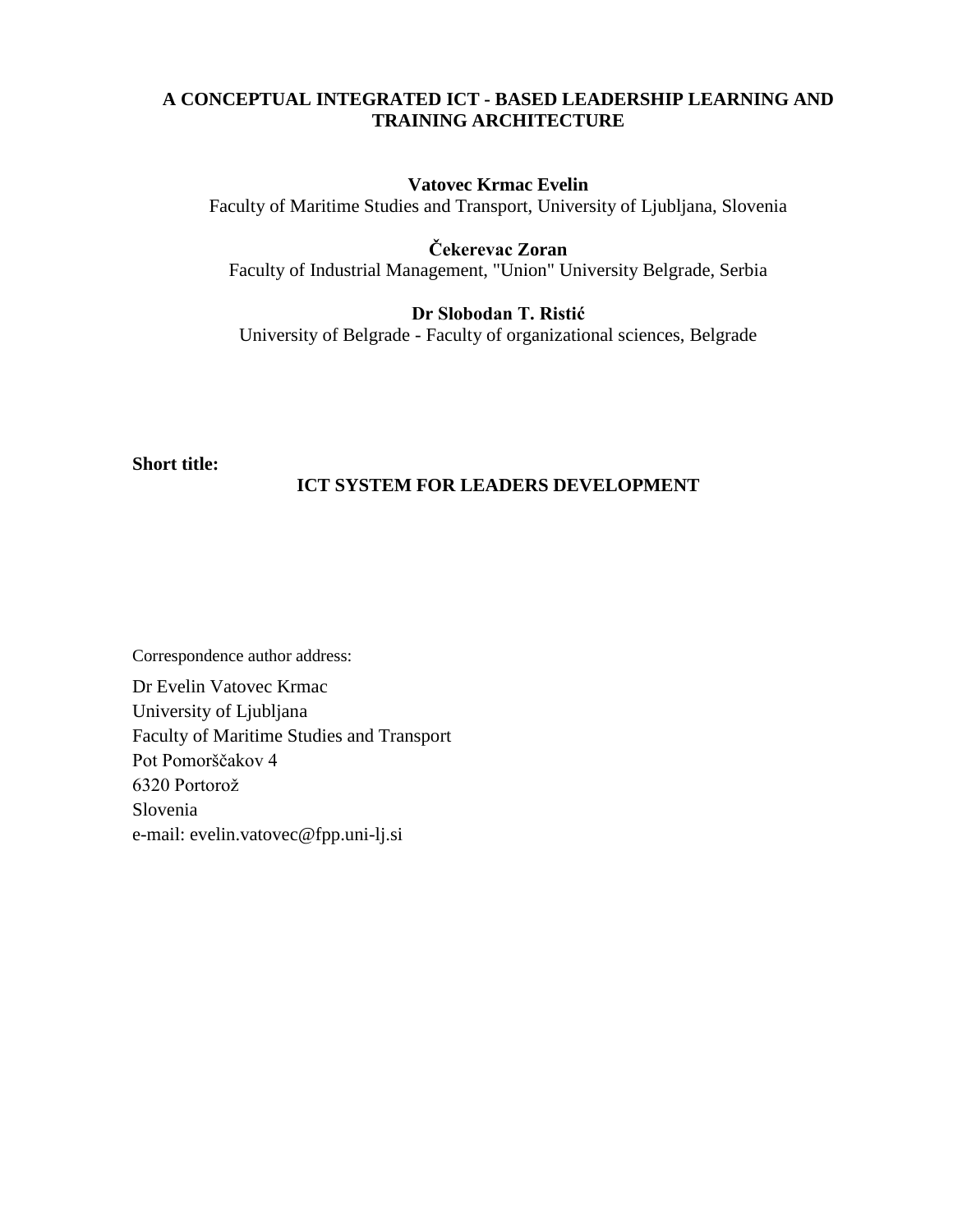# **A CONCEPTUAL INTEGRATED ICT - BASED LEADERSHIP LEARNING AND TRAINING ARCHITECTURE**

## **Vatovec Krmac Evelin**

Faculty of Maritime Studies and Transport, University of Ljubljana, Slovenia

# **Čekerevac Zoran**

Faculty of Industrial Management, "Union" University Belgrade, Serbia

# **Dr Slobodan T. Ristić**

University of Belgrade - Faculty of organizational sciences, Belgrade

# **Short title:**

## **ICT SYSTEM FOR LEADERS DEVELOPMENT**

Correspondence author address:

Dr Evelin Vatovec Krmac University of Ljubljana Faculty of Maritime Studies and Transport Pot Pomorščakov 4 6320 Portorož Slovenia e-mail: evelin.vatovec@fpp.uni-lj.si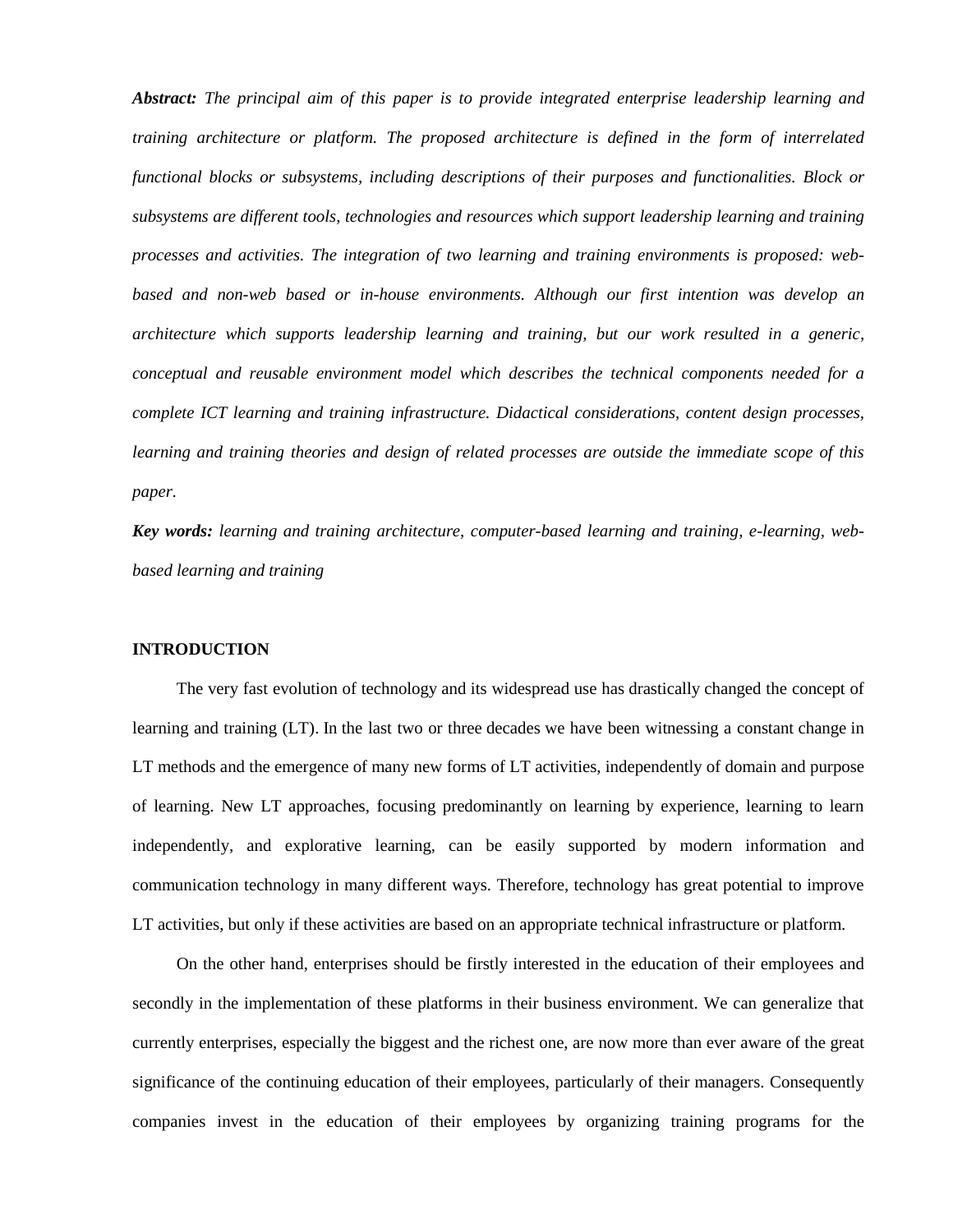*Abstract: The principal aim of this paper is to provide integrated enterprise leadership learning and training architecture or platform. The proposed architecture is defined in the form of interrelated functional blocks or subsystems, including descriptions of their purposes and functionalities. Block or subsystems are different tools, technologies and resources which support leadership learning and training processes and activities. The integration of two learning and training environments is proposed: webbased and non-web based or in-house environments. Although our first intention was develop an architecture which supports leadership learning and training, but our work resulted in a generic, conceptual and reusable environment model which describes the technical components needed for a complete ICT learning and training infrastructure. Didactical considerations, content design processes, learning and training theories and design of related processes are outside the immediate scope of this paper.*

*Key words: learning and training architecture, computer-based learning and training, e-learning, webbased learning and training*

### **INTRODUCTION**

The very fast evolution of technology and its widespread use has drastically changed the concept of learning and training (LT). In the last two or three decades we have been witnessing a constant change in LT methods and the emergence of many new forms of LT activities, independently of domain and purpose of learning. New LT approaches, focusing predominantly on learning by experience, learning to learn independently, and explorative learning, can be easily supported by modern information and communication technology in many different ways. Therefore, technology has great potential to improve LT activities, but only if these activities are based on an appropriate technical infrastructure or platform.

On the other hand, enterprises should be firstly interested in the education of their employees and secondly in the implementation of these platforms in their business environment. We can generalize that currently enterprises, especially the biggest and the richest one, are now more than ever aware of the great significance of the continuing education of their employees, particularly of their managers. Consequently companies invest in the education of their employees by organizing training programs for the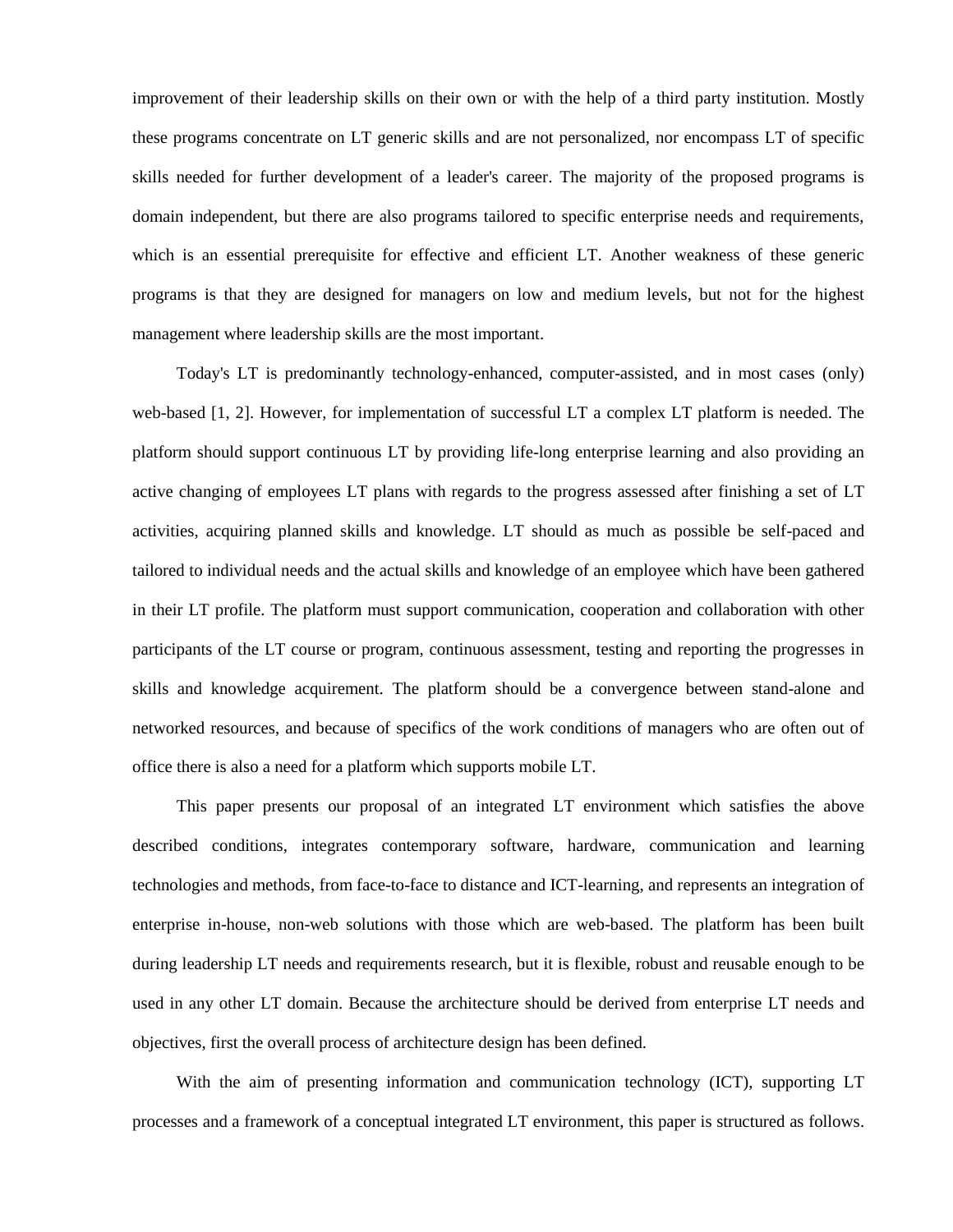improvement of their leadership skills on their own or with the help of a third party institution. Mostly these programs concentrate on LT generic skills and are not personalized, nor encompass LT of specific skills needed for further development of a leader's career. The majority of the proposed programs is domain independent, but there are also programs tailored to specific enterprise needs and requirements, which is an essential prerequisite for effective and efficient LT. Another weakness of these generic programs is that they are designed for managers on low and medium levels, but not for the highest management where leadership skills are the most important.

Today's LT is predominantly technology-enhanced, computer-assisted, and in most cases (only) web-based [1, 2]. However, for implementation of successful LT a complex LT platform is needed. The platform should support continuous LT by providing life-long enterprise learning and also providing an active changing of employees LT plans with regards to the progress assessed after finishing a set of LT activities, acquiring planned skills and knowledge. LT should as much as possible be self-paced and tailored to individual needs and the actual skills and knowledge of an employee which have been gathered in their LT profile. The platform must support communication, cooperation and collaboration with other participants of the LT course or program, continuous assessment, testing and reporting the progresses in skills and knowledge acquirement. The platform should be a convergence between stand-alone and networked resources, and because of specifics of the work conditions of managers who are often out of office there is also a need for a platform which supports mobile LT.

This paper presents our proposal of an integrated LT environment which satisfies the above described conditions, integrates contemporary software, hardware, communication and learning technologies and methods, from face-to-face to distance and ICT-learning, and represents an integration of enterprise in-house, non-web solutions with those which are web-based. The platform has been built during leadership LT needs and requirements research, but it is flexible, robust and reusable enough to be used in any other LT domain. Because the architecture should be derived from enterprise LT needs and objectives, first the overall process of architecture design has been defined.

With the aim of presenting information and communication technology (ICT), supporting LT processes and a framework of a conceptual integrated LT environment, this paper is structured as follows.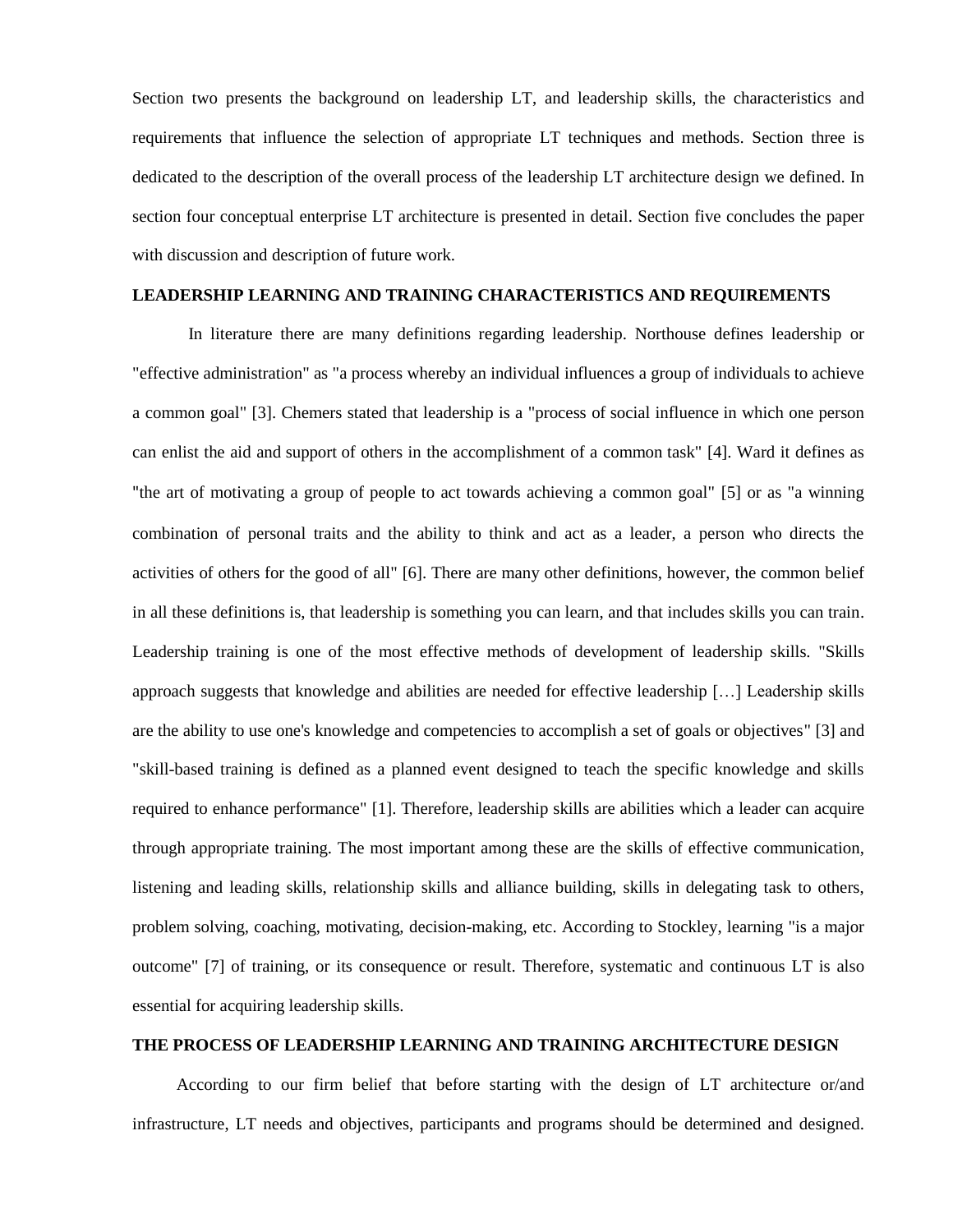Section two presents the background on leadership LT, and leadership skills, the characteristics and requirements that influence the selection of appropriate LT techniques and methods. Section three is dedicated to the description of the overall process of the leadership LT architecture design we defined. In section four conceptual enterprise LT architecture is presented in detail. Section five concludes the paper with discussion and description of future work.

### **LEADERSHIP LEARNING AND TRAINING CHARACTERISTICS AND REQUIREMENTS**

In literature there are many definitions regarding leadership. Northouse defines leadership or "effective administration" as "a process whereby an individual influences a group of individuals to achieve a common goal" [3]. Chemers stated that leadership is a "process of [social influence](http://en.wikipedia.org/wiki/Social_influence) in which one person can enlist the aid and [support](http://en.wikipedia.org/wiki/Peer_support) of others in the accomplishment of a common [task"](http://en.wikipedia.org/wiki/Task_(project_management)) [4]. Ward it defines as "the art of motivating a group of people to act towards achieving a common goal" [5] or as "a winning combination of personal traits and the ability to think and act as a leader, a person who directs the activities of others for the good of all" [6]. There are many other definitions, however, the common belief in all these definitions is, that leadership is something you can learn, and that includes skills you can train. Leadership training is one of the most effective methods of development of leadership skills. "Skills approach suggests that knowledge and abilities are needed for effective leadership […] Leadership skills are the ability to use one's knowledge and competencies to accomplish a set of goals or objectives" [3] and "skill-based training is defined as a planned event designed to teach the specific knowledge and skills required to enhance performance" [1]. Therefore, leadership skills are abilities which a leader can acquire through appropriate training. The most important among these are the skills of effective communication, listening and leading skills, relationship skills and alliance building, skills in delegating task to others, problem solving, coaching, motivating, decision-making, etc. According to Stockley, learning "is a major outcome" [7] of training, or its consequence or result. Therefore, systematic and continuous LT is also essential for acquiring leadership skills.

### **THE PROCESS OF LEADERSHIP LEARNING AND TRAINING ARCHITECTURE DESIGN**

According to our firm belief that before starting with the design of LT architecture or/and infrastructure, LT needs and objectives, participants and programs should be determined and designed.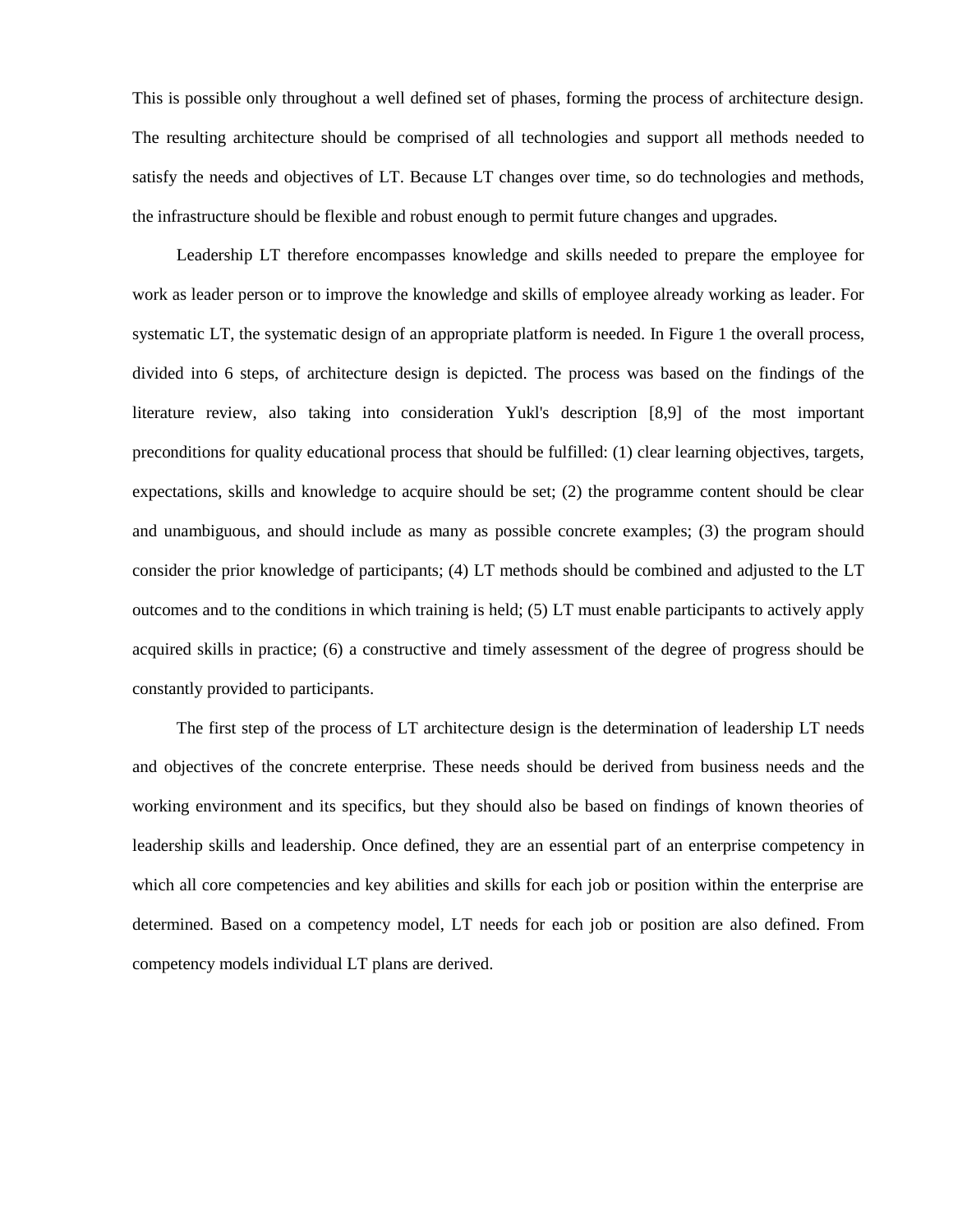This is possible only throughout a well defined set of phases, forming the process of architecture design. The resulting architecture should be comprised of all technologies and support all methods needed to satisfy the needs and objectives of LT. Because LT changes over time, so do technologies and methods, the infrastructure should be flexible and robust enough to permit future changes and upgrades.

Leadership LT therefore encompasses knowledge and skills needed to prepare the employee for work as leader person or to improve the knowledge and skills of employee already working as leader. For systematic LT, the systematic design of an appropriate platform is needed. In Figure 1 the overall process, divided into 6 steps, of architecture design is depicted. The process was based on the findings of the literature review, also taking into consideration Yukl's description [8,9] of the most important preconditions for quality educational process that should be fulfilled: (1) clear learning objectives, targets, expectations, skills and knowledge to acquire should be set; (2) the programme content should be clear and unambiguous, and should include as many as possible concrete examples; (3) the program should consider the prior knowledge of participants; (4) LT methods should be combined and adjusted to the LT outcomes and to the conditions in which training is held; (5) LT must enable participants to actively apply acquired skills in practice; (6) a constructive and timely assessment of the degree of progress should be constantly provided to participants.

The first step of the process of LT architecture design is the determination of leadership LT needs and objectives of the concrete enterprise. These needs should be derived from business needs and the working environment and its specifics, but they should also be based on findings of known theories of leadership skills and leadership. Once defined, they are an essential part of an enterprise competency in which all core competencies and key abilities and skills for each job or position within the enterprise are determined. Based on a competency model, LT needs for each job or position are also defined. From competency models individual LT plans are derived.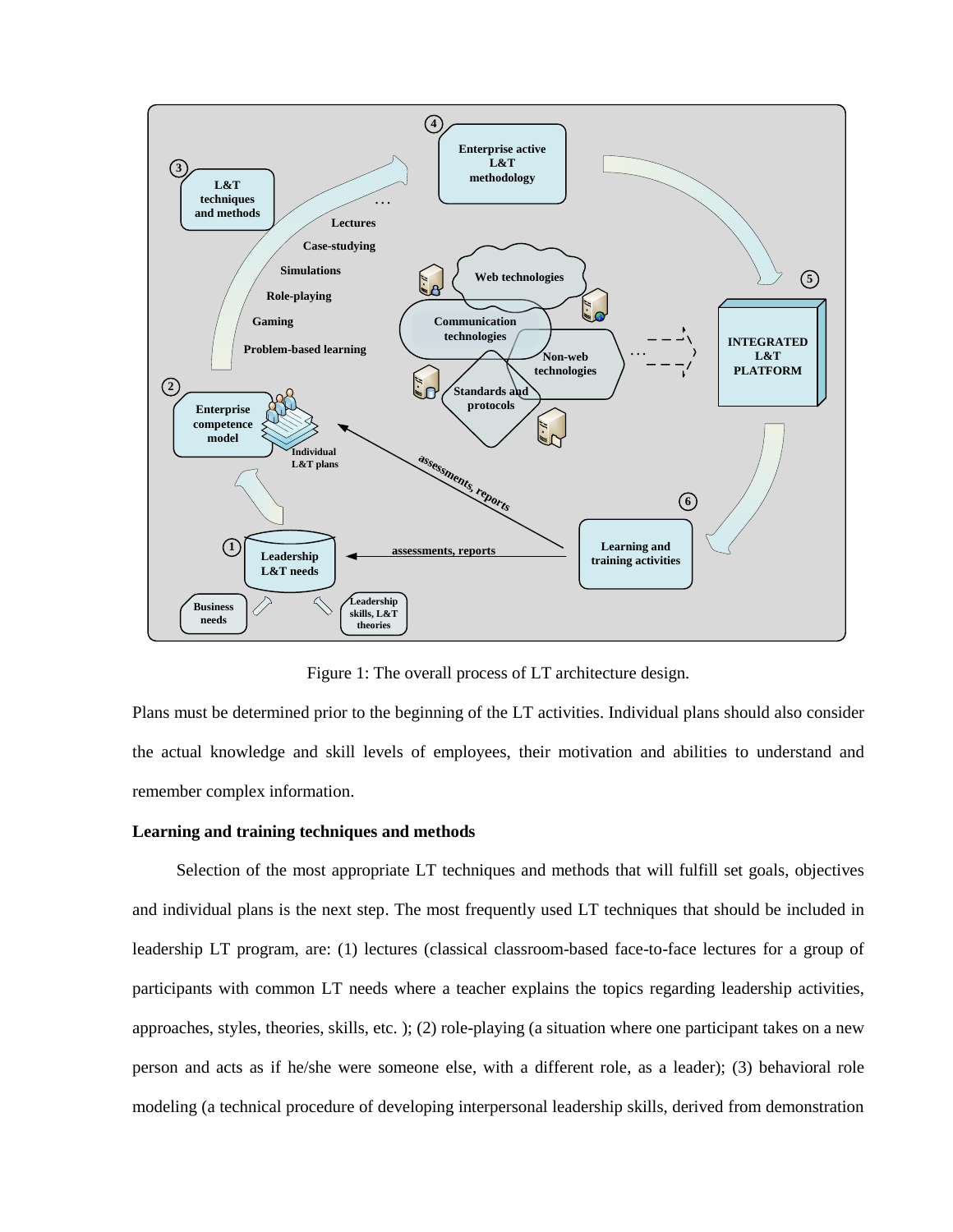

Figure 1: The overall process of LT architecture design.

Plans must be determined prior to the beginning of the LT activities. Individual plans should also consider the actual knowledge and skill levels of employees, their motivation and abilities to understand and remember complex information.

### **Learning and training techniques and methods**

Selection of the most appropriate LT techniques and methods that will fulfill set goals, objectives and individual plans is the next step. The most frequently used LT techniques that should be included in leadership LT program, are: (1) lectures (classical classroom-based face-to-face lectures for a group of participants with common LT needs where a teacher explains the topics regarding leadership activities, approaches, styles, theories, skills, etc. ); (2) role-playing (a situation where one participant takes on a new person and acts as if he/she were someone else, with a different role, as a leader); (3) behavioral role modeling (a technical procedure of developing interpersonal leadership skills, derived from demonstration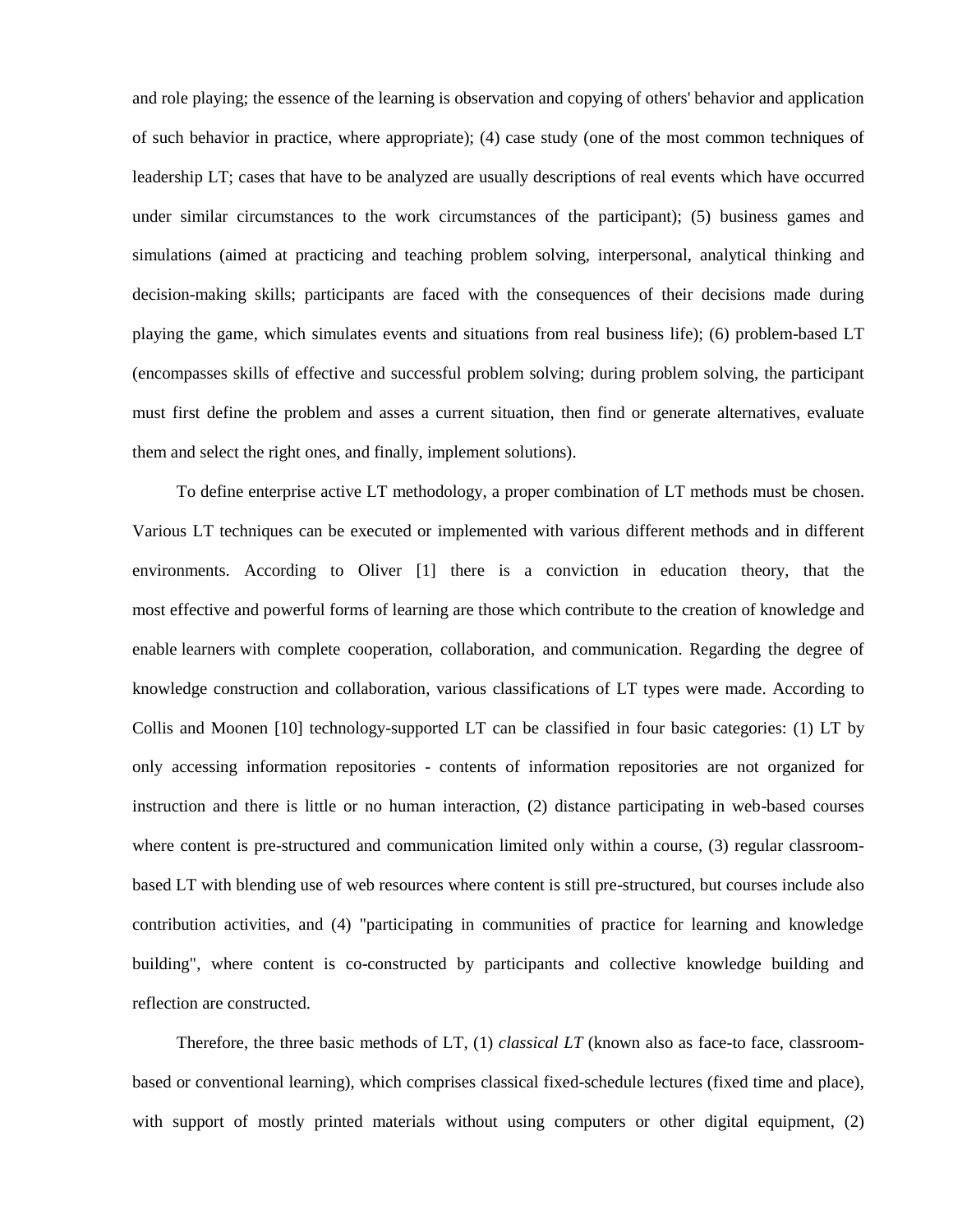and role playing; the essence of the learning is observation and copying of others' behavior and application of such behavior in practice, where appropriate); (4) case study (one of the most common techniques of leadership LT; cases that have to be analyzed are usually descriptions of real events which have occurred under similar circumstances to the work circumstances of the participant); (5) business games and simulations (aimed at practicing and teaching problem solving, interpersonal, analytical thinking and decision-making skills; participants are faced with the consequences of their decisions made during playing the game, which simulates events and situations from real business life); (6) problem-based LT (encompasses skills of effective and successful problem solving; during problem solving, the participant must first define the problem and asses a current situation, then find or generate alternatives, evaluate them and select the right ones, and finally, implement solutions).

To define enterprise active LT methodology, a proper combination of LT methods must be chosen. Various LT techniques can be executed or implemented with various different methods and in different environments. According to Oliver [1] there is a conviction in education theory, that the most effective and powerful forms of learning are those which contribute to the creation of knowledge and enable learners with complete cooperation, collaboration, and communication. Regarding the degree of knowledge construction and collaboration, various classifications of LT types were made. According to Collis and Moonen [10] technology-supported LT can be classified in four basic categories: (1) LT by only accessing information repositories - contents of information repositories are not organized for instruction and there is little or no human interaction, (2) distance participating in web-based courses where content is pre-structured and communication limited only within a course, (3) regular classroombased LT with blending use of web resources where content is still pre-structured, but courses include also contribution activities, and (4) "participating in communities of practice for learning and knowledge building", where content is co-constructed by participants and collective knowledge building and reflection are constructed.

Therefore, the three basic methods of LT, (1) *classical LT* (known also as face-to face, classroombased or conventional learning), which comprises classical fixed-schedule lectures (fixed time and place), with support of mostly printed materials without using computers or other digital equipment, (2)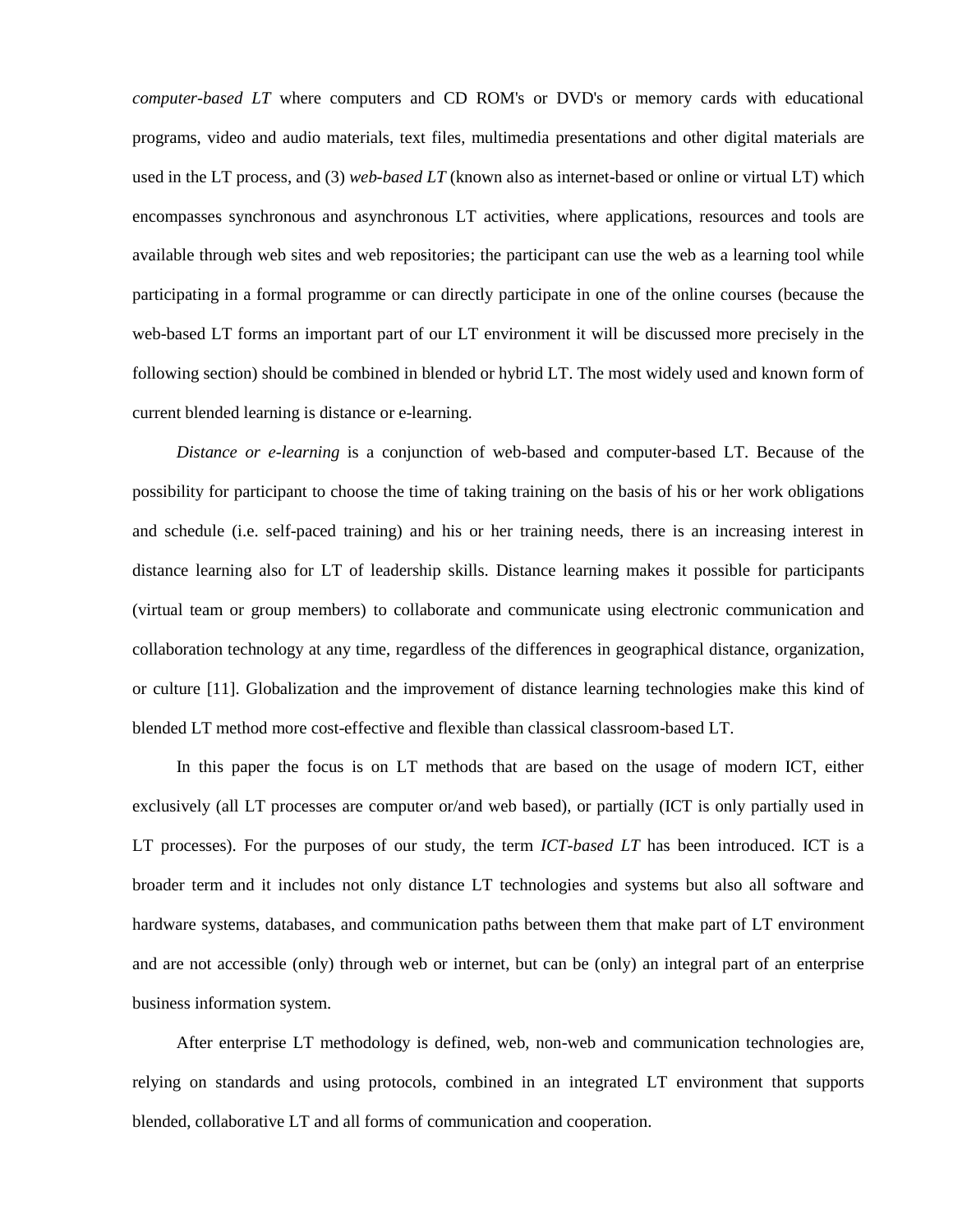*computer-based LT* where computers and CD ROM's or DVD's or memory cards with educational programs, video and audio materials, text files, multimedia presentations and other digital materials are used in the LT process, and (3) *web-based LT* (known also as internet-based or online or virtual LT) which encompasses synchronous and asynchronous LT activities, where applications, resources and tools are available through web sites and web repositories; the participant can use the web as a learning tool while participating in a formal programme or can directly participate in one of the online courses (because the web-based LT forms an important part of our LT environment it will be discussed more precisely in the following section) should be combined in blended or hybrid LT. The most widely used and known form of current blended learning is distance or e-learning.

*Distance or e-learning* is a conjunction of web-based and computer-based LT. Because of the possibility for participant to choose the time of taking training on the basis of his or her work obligations and schedule (i.e. self-paced training) and his or her training needs, there is an increasing interest in distance learning also for LT of leadership skills. Distance learning makes it possible for participants (virtual team or group members) to collaborate and communicate using electronic communication and collaboration technology at any time, regardless of the differences in geographical distance, organization, or culture [11]. Globalization and the improvement of distance learning technologies make this kind of blended LT method more cost-effective and flexible than classical classroom-based LT.

In this paper the focus is on LT methods that are based on the usage of modern ICT, either exclusively (all LT processes are computer or/and web based), or partially (ICT is only partially used in LT processes). For the purposes of our study, the term *ICT-based LT* has been introduced. ICT is a broader term and it includes not only distance LT technologies and systems but also all software and hardware systems, databases, and communication paths between them that make part of LT environment and are not accessible (only) through web or internet, but can be (only) an integral part of an enterprise business information system.

After enterprise LT methodology is defined, web, non-web and communication technologies are, relying on standards and using protocols, combined in an integrated LT environment that supports blended, collaborative LT and all forms of communication and cooperation.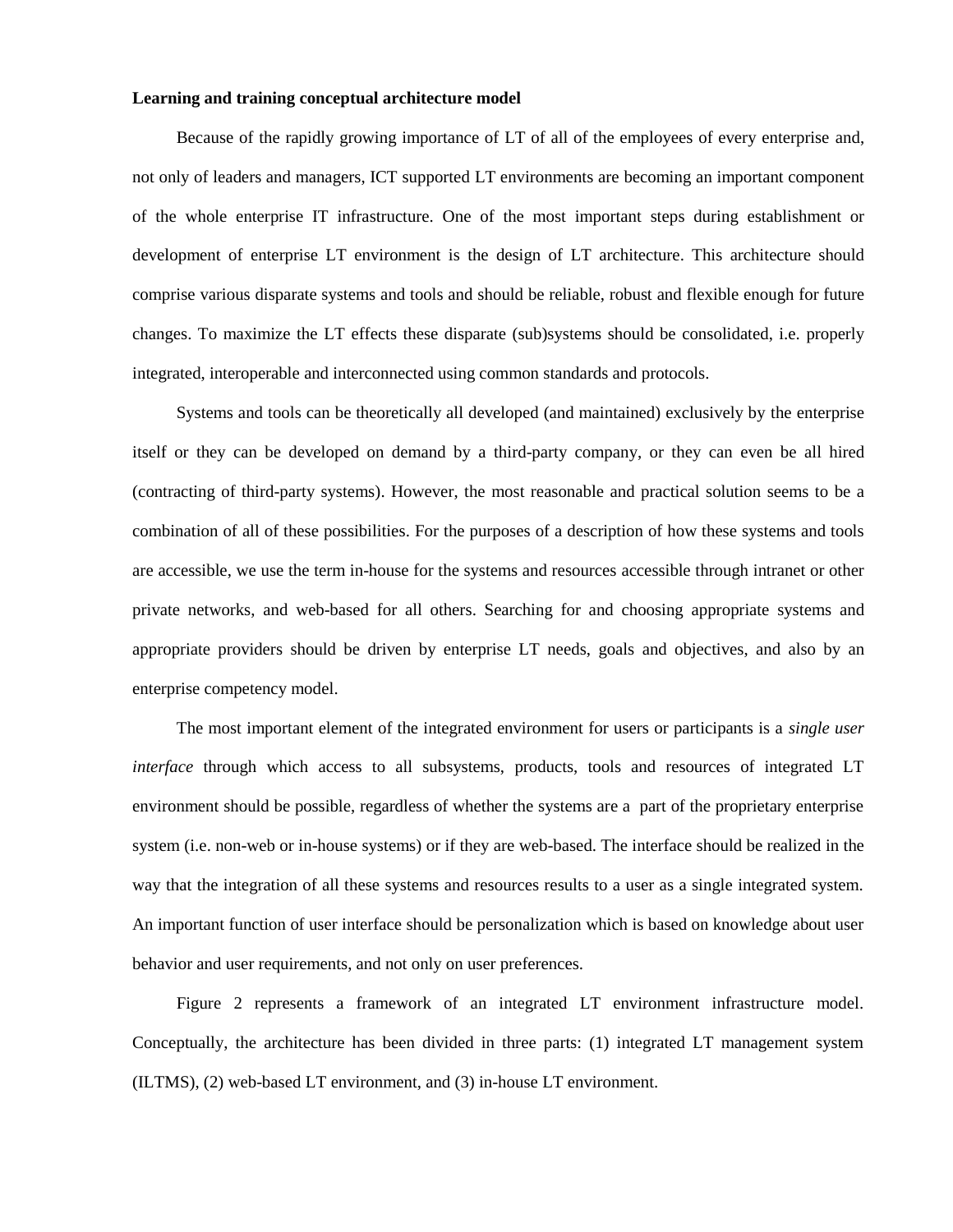#### **Learning and training conceptual architecture model**

Because of the rapidly growing importance of LT of all of the employees of every enterprise and, not only of leaders and managers, ICT supported LT environments are becoming an important component of the whole enterprise IT infrastructure. One of the most important steps during establishment or development of enterprise LT environment is the design of LT architecture. This architecture should comprise various disparate systems and tools and should be reliable, robust and flexible enough for future changes. To maximize the LT effects these disparate (sub)systems should be consolidated, i.e. properly integrated, interoperable and interconnected using common standards and protocols.

Systems and tools can be theoretically all developed (and maintained) exclusively by the enterprise itself or they can be developed on demand by a third-party company, or they can even be all hired (contracting of third-party systems). However, the most reasonable and practical solution seems to be a combination of all of these possibilities. For the purposes of a description of how these systems and tools are accessible, we use the term in-house for the systems and resources accessible through intranet or other private networks, and web-based for all others. Searching for and choosing appropriate systems and appropriate providers should be driven by enterprise LT needs, goals and objectives, and also by an enterprise competency model.

The most important element of the integrated environment for users or participants is a *single user interface* through which access to all subsystems, products, tools and resources of integrated LT environment should be possible, regardless of whether the systems are a part of the proprietary enterprise system (i.e. non-web or in-house systems) or if they are web-based. The interface should be realized in the way that the integration of all these systems and resources results to a user as a single integrated system. An important function of user interface should be personalization which is based on knowledge about user behavior and user requirements, and not only on user preferences.

Figure 2 represents a framework of an integrated LT environment infrastructure model. Conceptually, the architecture has been divided in three parts: (1) integrated LT management system (ILTMS), (2) web-based LT environment, and (3) in-house LT environment.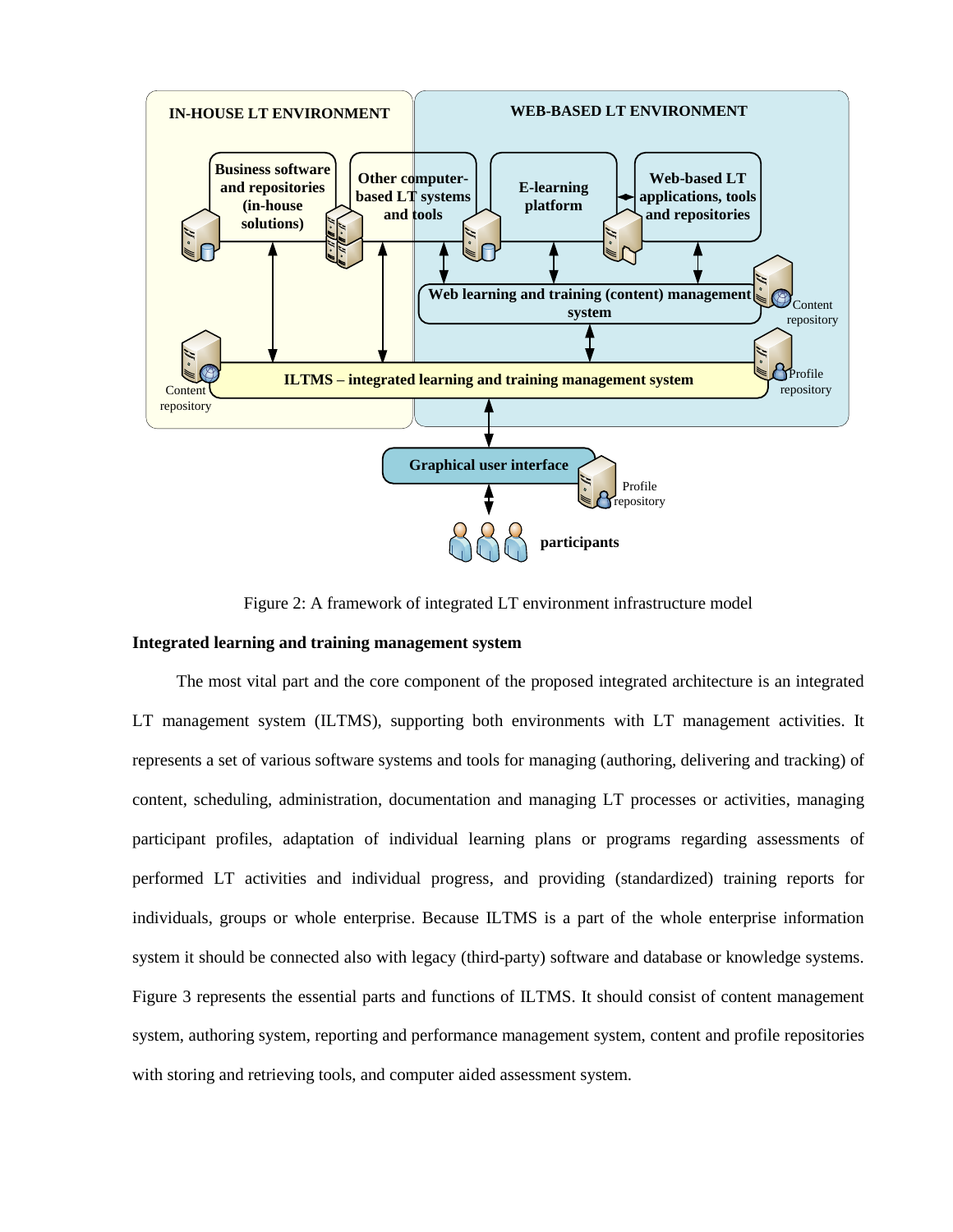

Figure 2: A framework of integrated LT environment infrastructure model

#### **Integrated learning and training management system**

The most vital part and the core component of the proposed integrated architecture is an integrated LT management system (ILTMS), supporting both environments with LT management activities. It represents a set of various software systems and tools for managing (authoring, delivering and tracking) of content, scheduling, administration, documentation and managing LT processes or activities, managing participant profiles, adaptation of individual learning plans or programs regarding assessments of performed LT activities and individual progress, and providing (standardized) training reports for individuals, groups or whole enterprise. Because ILTMS is a part of the whole enterprise information system it should be connected also with legacy (third-party) software and database or knowledge systems. Figure 3 represents the essential parts and functions of ILTMS. It should consist of content management system, authoring system, reporting and performance management system, content and profile repositories with storing and retrieving tools, and computer aided assessment system.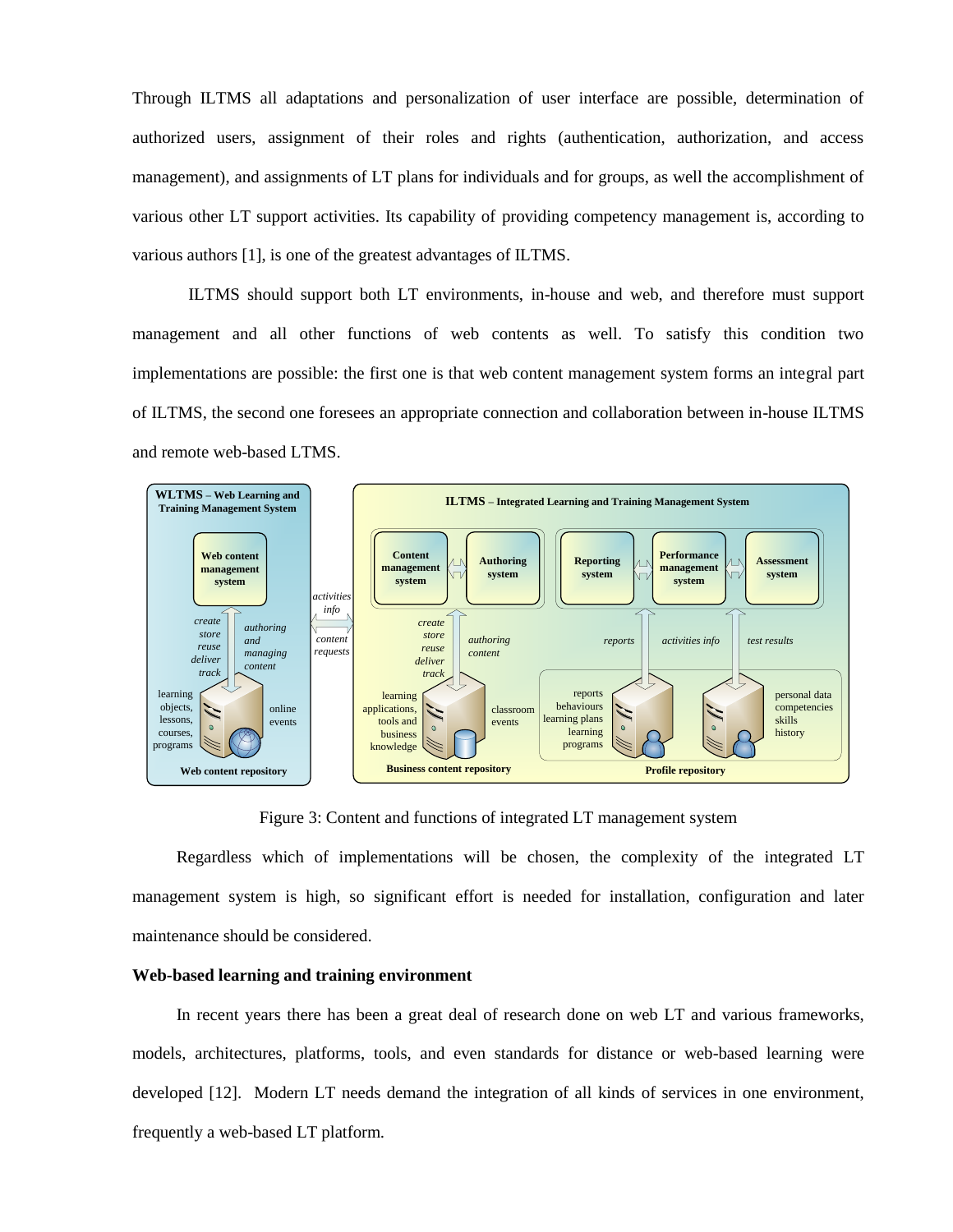Through ILTMS all adaptations and personalization of user interface are possible, determination of authorized users, assignment of their roles and rights (authentication, authorization, and access management), and assignments of LT plans for individuals and for groups, as well the accomplishment of various other LT support activities. Its capability of providing competency management is, according to various authors [1], is one of the greatest advantages of ILTMS.

ILTMS should support both LT environments, in-house and web, and therefore must support management and all other functions of web contents as well. To satisfy this condition two implementations are possible: the first one is that web content management system forms an integral part of ILTMS, the second one foresees an appropriate connection and collaboration between in-house ILTMS and remote web-based LTMS.



Figure 3: Content and functions of integrated LT management system

Regardless which of implementations will be chosen, the complexity of the integrated LT management system is high, so significant effort is needed for installation, configuration and later maintenance should be considered.

## **Web-based learning and training environment**

In recent years there has been a great deal of research done on web LT and various frameworks, models, architectures, platforms, tools, and even standards for distance or web-based learning were developed [12]. Modern LT needs demand the integration of all kinds of services in one environment, frequently a web-based LT platform.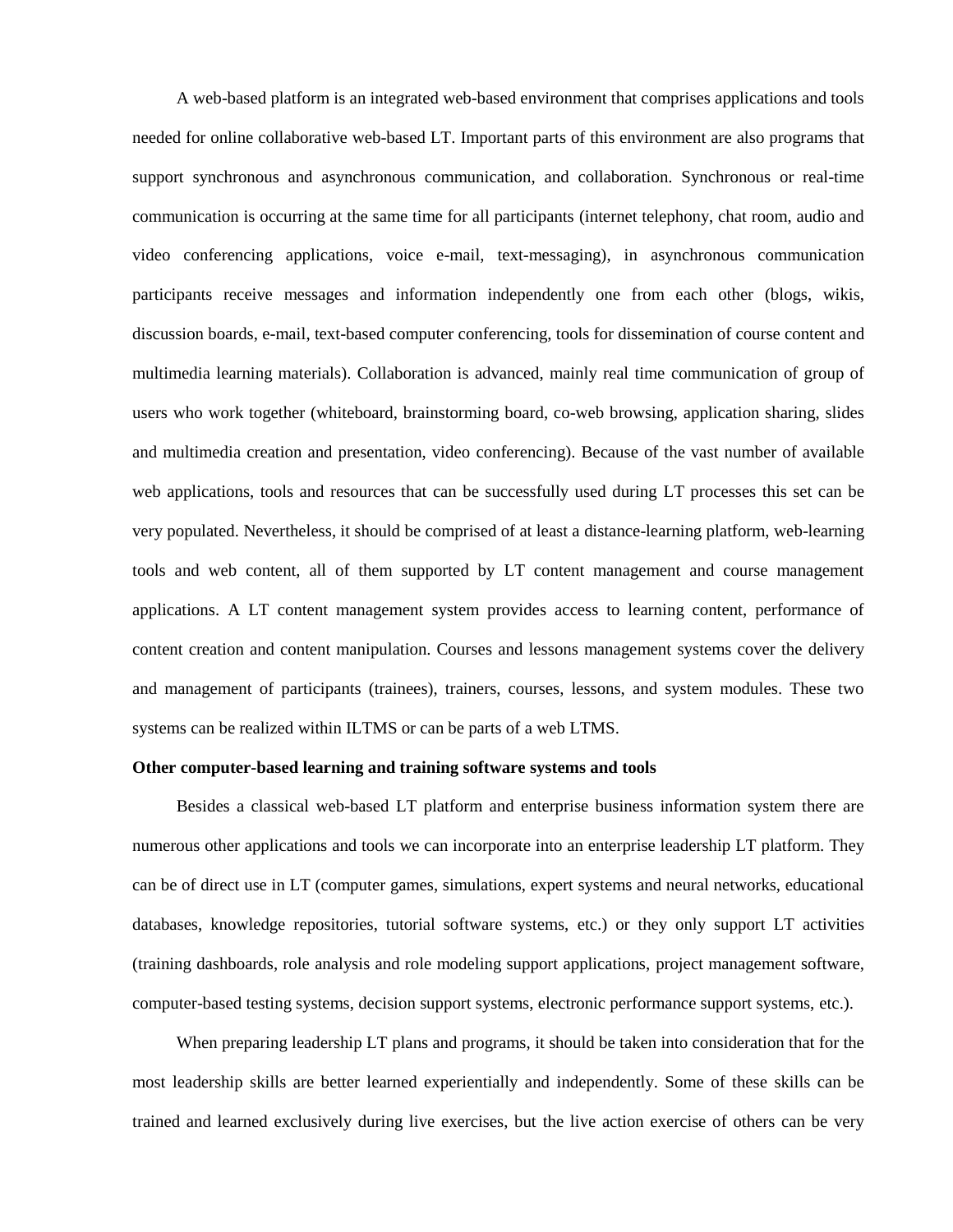A web-based platform is an integrated web-based environment that comprises applications and tools needed for online collaborative web-based LT. Important parts of this environment are also programs that support synchronous and asynchronous communication, and collaboration. Synchronous or real-time communication is occurring at the same time for all participants (internet telephony, chat room, audio and video conferencing applications, voice e-mail, text-messaging), in asynchronous communication participants receive messages and information independently one from each other (blogs, wikis, discussion boards, e-mail, text-based computer conferencing, tools for dissemination of course content and multimedia learning materials). Collaboration is advanced, mainly real time communication of group of users who work together (whiteboard, brainstorming board, co-web browsing, application sharing, slides and multimedia creation and presentation, video conferencing). Because of the vast number of available web applications, tools and resources that can be successfully used during LT processes this set can be very populated. Nevertheless, it should be comprised of at least a distance-learning platform, web-learning tools and web content, all of them supported by LT content management and course management applications. A LT content management system provides access to learning content, performance of content creation and content manipulation. Courses and lessons management systems cover the delivery and management of participants (trainees), trainers, courses, lessons, and system modules. These two systems can be realized within ILTMS or can be parts of a web LTMS.

#### **Other computer-based learning and training software systems and tools**

Besides a classical web-based LT platform and enterprise business information system there are numerous other applications and tools we can incorporate into an enterprise leadership LT platform. They can be of direct use in LT (computer games, simulations, expert systems and neural networks, educational databases, knowledge repositories, tutorial software systems, etc.) or they only support LT activities (training dashboards, role analysis and role modeling support applications, project management software, computer-based testing systems, decision support systems, electronic performance support systems, etc.).

When preparing leadership LT plans and programs, it should be taken into consideration that for the most leadership skills are better learned experientially and independently. Some of these skills can be trained and learned exclusively during live exercises, but the live action exercise of others can be very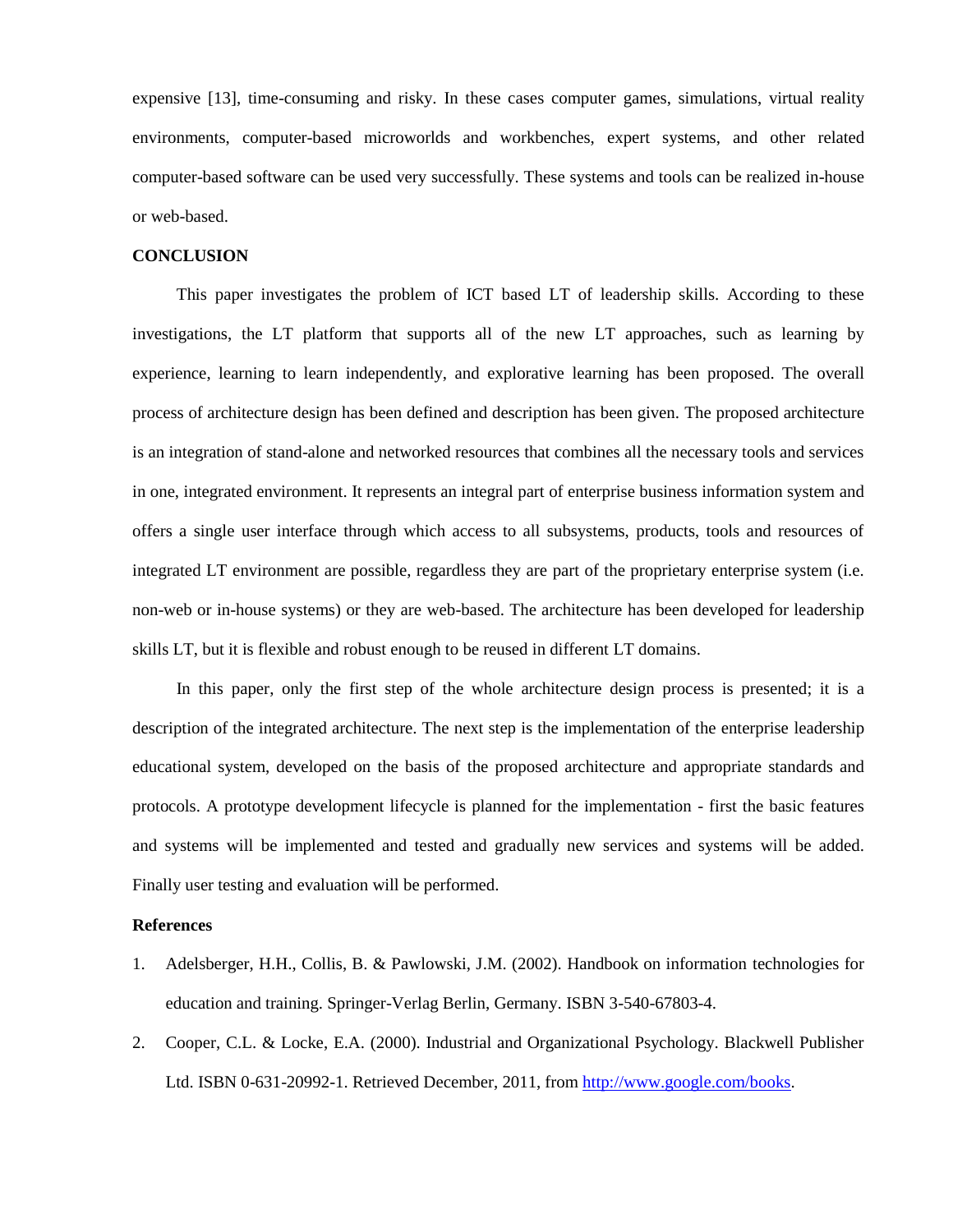expensive [13], time-consuming and risky. In these cases computer games, simulations, virtual reality environments, computer-based microworlds and workbenches, expert systems, and other related computer-based software can be used very successfully. These systems and tools can be realized in-house or web-based.

### **CONCLUSION**

This paper investigates the problem of ICT based LT of leadership skills. According to these investigations, the LT platform that supports all of the new LT approaches, such as learning by experience, learning to learn independently, and explorative learning has been proposed. The overall process of architecture design has been defined and description has been given. The proposed architecture is an integration of stand-alone and networked resources that combines all the necessary tools and services in one, integrated environment. It represents an integral part of enterprise business information system and offers a single user interface through which access to all subsystems, products, tools and resources of integrated LT environment are possible, regardless they are part of the proprietary enterprise system (i.e. non-web or in-house systems) or they are web-based. The architecture has been developed for leadership skills LT, but it is flexible and robust enough to be reused in different LT domains.

In this paper, only the first step of the whole architecture design process is presented; it is a description of the integrated architecture. The next step is the implementation of the enterprise leadership educational system, developed on the basis of the proposed architecture and appropriate standards and protocols. A prototype development lifecycle is planned for the implementation - first the basic features and systems will be implemented and tested and gradually new services and systems will be added. Finally user testing and evaluation will be performed.

#### **References**

- 1. Adelsberger, H.H., Collis, B. & Pawlowski, J.M. (2002). Handbook on information technologies for education and training. Springer-Verlag Berlin, Germany. ISBN 3-540-67803-4.
- 2. Cooper, C.L. & Locke, E.A. (2000). Industrial and Organizational Psychology. Blackwell Publisher Ltd. ISBN 0-631-20992-1. Retrieved December, 2011, from [http://www.google.com/books.](http://www.google.com/books?hl=sl&lr=&id=vdbArhGyUyYC&oi=fnd&pg=PA52&dq=advances+in+leadership+training+and+development&ots=4IWRTthnep&sig=gdXl8BZwjuY7pb9Ico_sZf8MHBc#v=onepage&q=advances%20in%20leadership%20training%20and%20development&f=false)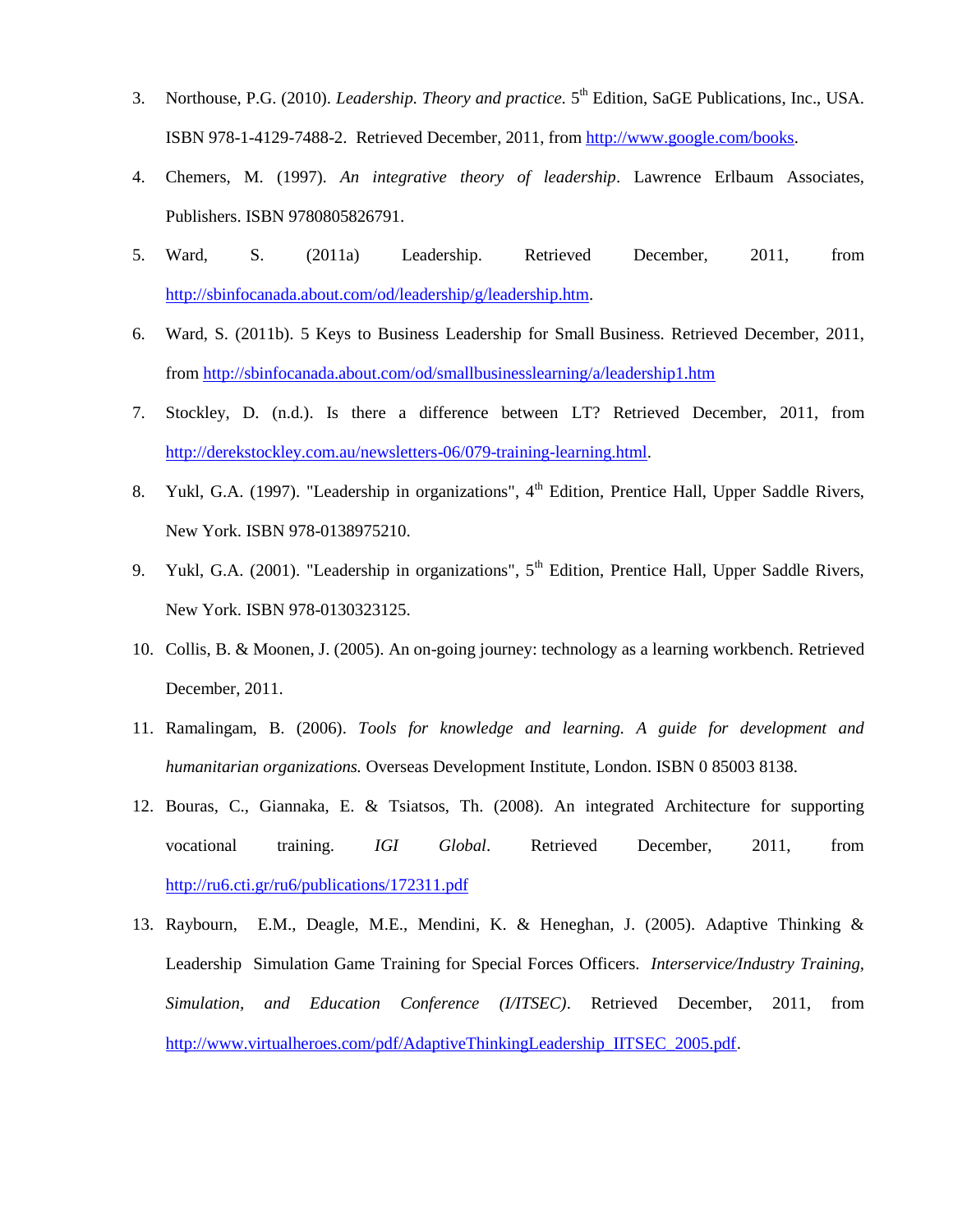- 3. Northouse, P.G. (2010). *Leadership. Theory and practice*. 5<sup>th</sup> Edition, SaGE Publications, Inc., USA. ISBN 978-1-4129-7488-2. Retrieved December, 2011, from [http://www.google.com/books.](http://www.google.com/books?hl=sl&lr=&id=SOjzvJfSPycC&oi=fnd&pg=PR1&dq=computer+based+leadership+training&ots=clXV2-ClKZ&sig=dwfXVLAiFVxFBD3vY-RZJCnxJV8#v=onepage&q&f=false)
- 4. Chemers, M. (1997). *An integrative theory of leadership*. Lawrence Erlbaum Associates, Publishers. [ISBN 9780805826791.](http://en.wikipedia.org/wiki/Special:BookSources/9780805826791)
- 5. Ward, S. (2011a) Leadership. Retrieved December, 2011, from [http://sbinfocanada.about.com/od/leadership/g/leadership.htm.](http://sbinfocanada.about.com/od/leadership/g/leadership.htm)
- 6. Ward, S. (2011b). 5 Keys to Business Leadership for Small Business. Retrieved December, 2011, from <http://sbinfocanada.about.com/od/smallbusinesslearning/a/leadership1.htm>
- 7. Stockley, D. (n.d.). Is there a difference between LT? Retrieved December, 2011, from [http://derekstockley.com.au/newsletters-06/079-training-learning.html.](http://derekstockley.com.au/newsletters-06/079-training-learning.html)
- 8. Yukl, G.A. (1997). "Leadership in organizations", 4<sup>th</sup> Edition, Prentice Hall, Upper Saddle Rivers, New York. ISBN 978-0138975210.
- 9. Yukl, G.A. (2001). "Leadership in organizations",  $5<sup>th</sup>$  Edition, Prentice Hall, Upper Saddle Rivers, New York. ISBN 978-0130323125.
- 10. Collis, B. & Moonen, J. (2005). An on-going journey: technology as a learning workbench. Retrieved December, 2011.
- 11. Ramalingam, B. (2006). *Tools for knowledge and learning. A guide for development and humanitarian organizations.* Overseas Development Institute, London. ISBN 0 85003 8138.
- 12. Bouras, C., Giannaka, E. & Tsiatsos, Th. (2008). An integrated Architecture for supporting vocational training. *IGI Global*. Retrieved December, 2011, from <http://ru6.cti.gr/ru6/publications/172311.pdf>
- 13. Raybourn, E.M., Deagle, M.E., Mendini, K. & Heneghan, J. (2005). Adaptive Thinking & Leadership Simulation Game Training for Special Forces Officers. *Interservice/Industry Training, Simulation, and Education Conference (I/ITSEC)*. Retrieved December, 2011, from [http://www.virtualheroes.com/pdf/AdaptiveThinkingLeadership\\_IITSEC\\_2005.pdf](http://www.virtualheroes.com/pdf/AdaptiveThinkingLeadership_IITSEC_2005.pdf).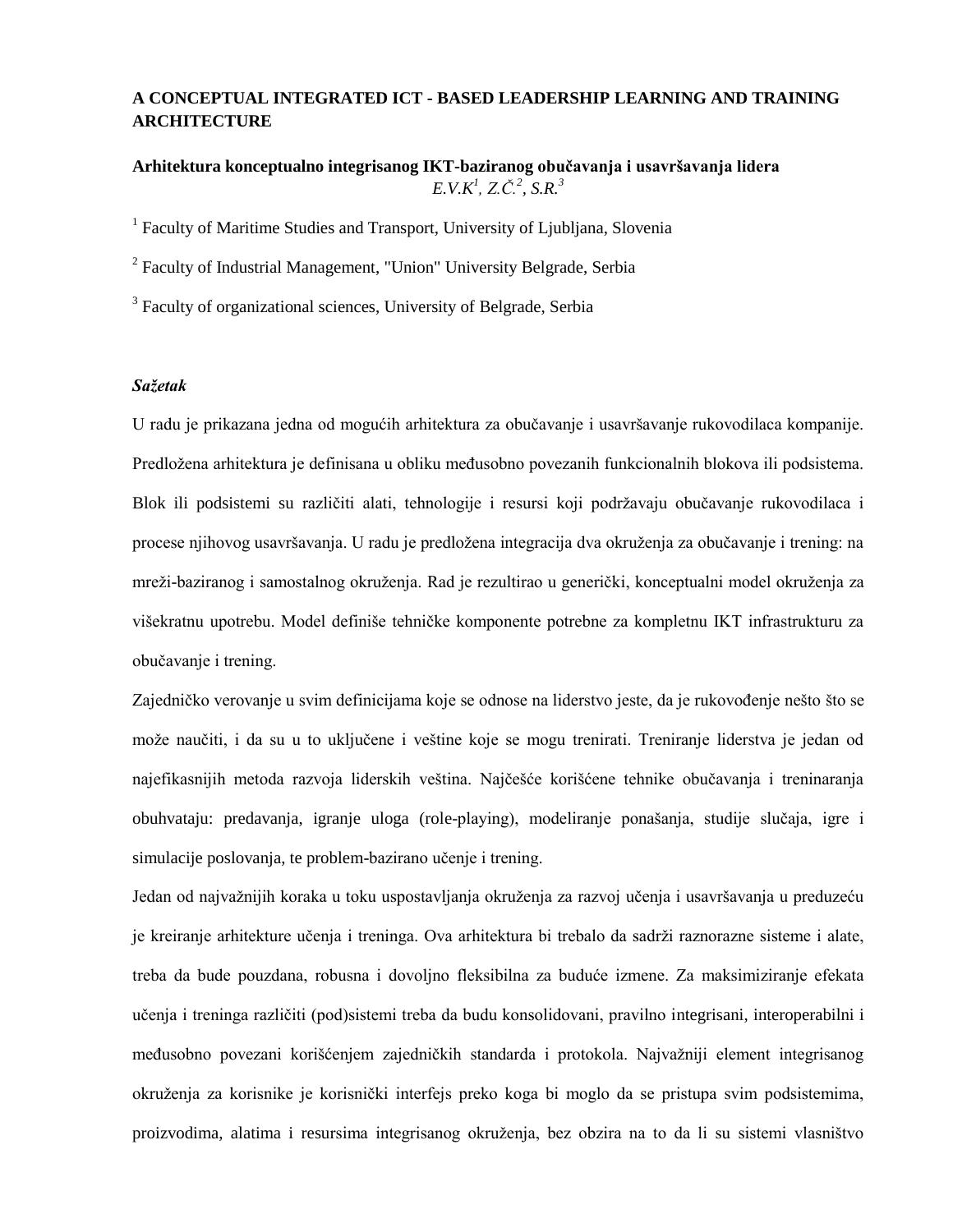# **A CONCEPTUAL INTEGRATED ICT - BASED LEADERSHIP LEARNING AND TRAINING ARCHITECTURE**

# **Arhitektura konceptualno integrisanog IKT-baziranog obučavanja i usavršavanja lidera**  $E.V.K^1$ ,  $Z.C.^2$ ,  $S.R.^3$

<sup>1</sup> Faculty of Maritime Studies and Transport, University of Ljubljana, Slovenia

<sup>2</sup> Faculty of Industrial Management, "Union" University Belgrade, Serbia

<sup>3</sup> Faculty of organizational sciences, University of Belgrade, Serbia

### *Sažetak*

U radu je prikazana jedna od mogućih arhitektura za obučavanje i usavršavanje rukovodilaca kompanije. Predložena arhitektura je definisana u obliku međusobno povezanih funkcionalnih blokova ili podsistema. Blok ili podsistemi su različiti alati, tehnologije i resursi koji podržavaju obučavanje rukovodilaca i procese njihovog usavršavanja. U radu je predložena integracija dva okruženja za obučavanje i trening: na mreži-baziranog i samostalnog okruženja. Rad je rezultirao u generički, konceptualni model okruženja za višekratnu upotrebu. Model definiše tehničke komponente potrebne za kompletnu IKT infrastrukturu za obučavanje i trening.

Zajedničko verovanje u svim definicijama koje se odnose na liderstvo jeste, da je rukovođenje nešto što se može naučiti, i da su u to uključene i veštine koje se mogu trenirati. Treniranje liderstva je jedan od najefikasnijih metoda razvoja liderskih veština. Najčešće korišćene tehnike obučavanja i treninaranja obuhvataju: predavanja, igranje uloga (role-playing), modeliranje ponašanja, studije slučaja, igre i simulacije poslovanja, te problem-bazirano učenje i trening.

Jedan od najvažnijih koraka u toku uspostavljanja okruženja za razvoj učenja i usavršavanja u preduzeću je kreiranje arhitekture učenja i treninga. Ova arhitektura bi trebalo da sadrži raznorazne sisteme i alate, treba da bude pouzdana, robusna i dovoljno fleksibilna za buduće izmene. Za maksimiziranje efekata učenja i treninga različiti (pod)sistemi treba da budu konsolidovani, pravilno integrisani, interoperabilni i međusobno povezani korišćenjem zajedničkih standarda i protokola. Najvažniji element integrisanog okruženja za korisnike je korisnički interfejs preko koga bi moglo da se pristupa svim podsistemima, proizvodima, alatima i resursima integrisanog okruženja, bez obzira na to da li su sistemi vlasništvo